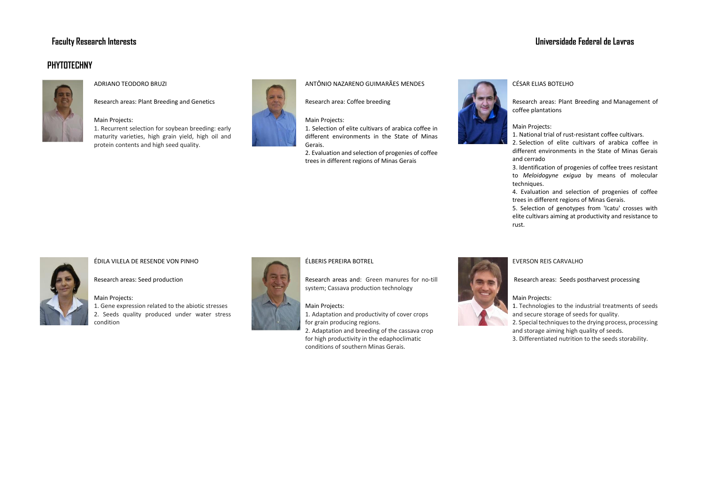# **PHYTOTECHNY**



# ADRIANO TEODORO BRUZI

Research areas: Plant Breeding and Genetics

## Main Projects:

1. Recurrent selection for soybean breeding: early maturity varieties, high grain yield, high oil and protein contents and high seed quality.



# ANTÔNIO NAZARENO GUIMARÃES MENDES

Research area: Coffee breeding

Main Projects: 1. Selection of elite cultivars of arabica coffee in different environments in the State of Minas Gerais.

2. Evaluation and selection of progenies of coffee trees in different regions of Minas Gerais

# **Faculty Research Interests Universidade Federal de Lavras**



# CÉSAR ELIAS BOTELHO

Research areas: Plant Breeding and Management of coffee plantations

# Main Projects:

1. National trial of rust-resistant coffee cultivars.

2. Selection of elite cultivars of arabica coffee in different environments in the State of Minas Gerais and cerrado

3. Identification of progenies of coffee trees resistant to *Meloidogyne exigua* by means of molecular techniques.

4. Evaluation and selection of progenies of coffee trees in different regions of Minas Gerais.

5. Selection of genotypes from 'Icatu' crosses with elite cultivars aiming at productivity and resistance to rust.

# ÉDILA VILELA DE RESENDE VON PINHO

Research areas: Seed production

Main Projects:

1. Gene expression related to the abiotic stresses 2. Seeds quality produced under water stress condition



# ÉLBERIS PEREIRA BOTREL

for grain producing regions.

Main Projects:

Research areas and: Green manures for no-till system; Cassava production technology

1. Adaptation and productivity of cover crops

2. Adaptation and breeding of the cassava crop for high productivity in the edaphoclimatic conditions of southern Minas Gerais.



# EVERSON REIS CARVALHO

Research areas: Seeds postharvest processing

## Main Projects:

1. Technologies to the industrial treatments of seeds and secure storage of seeds for quality. 2. Special techniques to the drying process, processing and storage aiming high quality of seeds.

3. Differentiated nutrition to the seeds storability.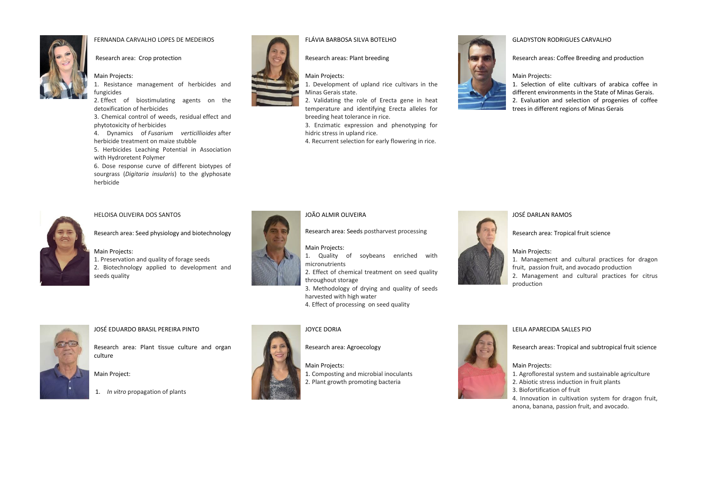

# FERNANDA CARVALHO LOPES DE MEDEIROS



# Research area: Crop protection

### Main Projects:

1. Resistance management of herbicides and fungicides

2. Effect of biostimulating agents on the detoxification of herbicides

3. Chemical control of weeds, residual effect and phytotoxicity of herbicides

4. Dynamics of *Fusarium verticillioides* after herbicide treatment on maize stubble

5. Herbicides Leaching Potential in Association with Hydroretent Polymer

6. Dose response curve of different biotypes of sourgrass (*Digitaria insularis*) to the glyphosate herbicide



HELOISA OLIVEIRA DOS SANTOS

Research area: Seed physiology and biotechnology

#### Main Projects:

1. Preservation and quality of forage seeds 2. Biotechnology applied to development and seeds quality



#### FLÁVIA BARBOSA SILVA BOTELHO

Research areas: Plant breeding



Main Projects: 1. Development of upland rice cultivars in the

Minas Gerais state. 2. Validating the role of Erecta gene in heat

temperature and identifying Erecta alleles for breeding heat tolerance in rice.

3. Enzimatic expression and phenotyping for hidric stress in upland rice.

4. Recurrent selection for early flowering in rice.

#### GLADYSTON RODRIGUES CARVALHO

Research areas: Coffee Breeding and production

#### Main Projects:

1. Selection of elite cultivars of arabica coffee in different environments in the State of Minas Gerais. 2. Evaluation and selection of progenies of coffee trees in different regions of Minas Gerais



### JOÃO ALMIR OLIVEIRA

Research area: Seeds postharvest processing

Main Projects: 1. Quality of soybeans enriched with micronutrients 2. Effect of chemical treatment on seed quality throughout storage



# JOSÉ DARLAN RAMOS

Research area: Tropical fruit science

1. Management and cultural practices for dragon

fruit, passion fruit, and avocado production

2. Management and cultural practices for citrus production



#### JOSÉ EDUARDO BRASIL PEREIRA PINTO

Research area: Plant tissue culture and organ culture

Main Project:

1. *In vitro* propagation of plants



# JOYCE DORIA

Research area: Agroecology

harvested with high water

Main Projects:

1. Composting and microbial inoculants 2. Plant growth promoting bacteria

4. Effect of processing on seed quality



# LEILA APARECIDA SALLES PIO

Research areas: Tropical and subtropical fruit science

### Main Projects:

- 1. Agroflorestal system and sustainable agriculture
- 2. Abiotic stress induction in fruit plants
- 3. Biofortification of fruit
- 4. Innovation in cultivation system for dragon fruit, anona, banana, passion fruit, and avocado.



3. Methodology of drying and quality of seeds

Main Projects: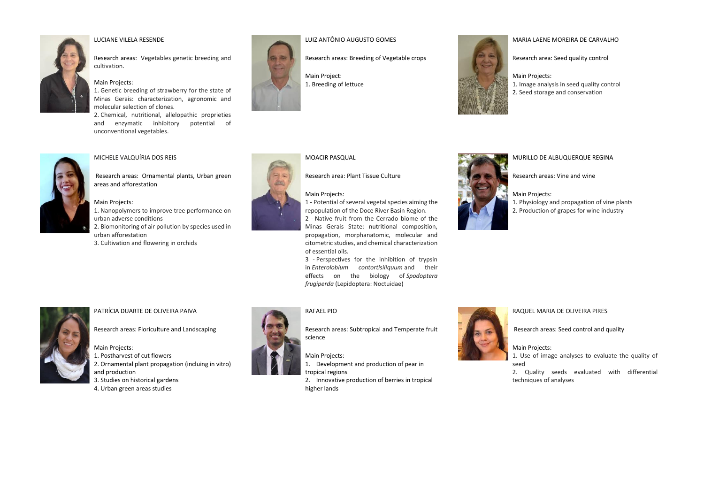

# LUCIANE VILELA RESENDE

Research areas: Vegetables genetic breeding and cultivation.

#### Main Projects:

1. Genetic breeding of strawberry for the state of Minas Gerais: characterization, agronomic and molecular selection of clones.

2. Chemical, nutritional, allelopathic proprieties and enzymatic inhibitory potential of unconventional vegetables.



#### MICHELE VALQUÍRIA DOS REIS

Research areas: Ornamental plants, Urban green areas and afforestation

#### Main Projects:

1. Nanopolymers to improve tree performance on urban adverse conditions

- 2. Biomonitoring of air pollution by species used in urban afforestation
- 3. Cultivation and flowering in orchids



# LUIZ ANTÔNIO AUGUSTO GOMES

Research areas: Breeding of Vegetable crops

Main Project: [1.](http://www.prpg.ufla.br/fitotecnia/wp-content/uploads/2012/09/Sem-t%C3%ADtulo-28.jpg) Breeding of lettuce



#### MARIA LAENE MOREIRA DE CARVALHO

Research area: Seed quality control

#### Main Projects:

1. Image analysis in seed quality control 2. Seed storage and conservation



# MOACIR PASQUAL

Research area: Plant Tissue Culture

### Main Projects:

1 - Potential of several vegetal species aiming the repopulation of the Doce River Basin Region. 2 - Native fruit from the Cerrado biome of the Minas Gerais State: nutritional composition, propagation, morphanatomic, molecular and citometric studies, and chemical characterization of essential oils.

3 - Perspectives for the inhibition of trypsin in *Enterolobium contortisiliquum* and their effects on the biology of *Spodoptera frugiperda* (Lepidoptera: Noctuidae)



MURILLO DE ALBUQUERQUE REGINA

Research areas: Vine and wine

#### Main Projects:

1. Physiology and propagation of vine plants

2. Production of grapes for wine industry



#### PATRÍCIA DUARTE DE OLIVEIRA PAIVA

Research areas: Floriculture and Landscaping

#### Main Projects:

1. Postharvest of cut flowers

- 2. Ornamental plant propagation (incluing in vitro) and production
- 3. Studies on historical gardens
- 4. Urban green areas studies



# RAFAEL PIO

Research areas: Subtropical and Temperate fruit science

Main Projects:

1. Development and production of pear in tropical regions

2. Innovative production of berries in tropical higher lands



#### RAQUEL MARIA DE OLIVEIRA PIRES

Research areas: Seed control and quality

### Main Projects:

1. Use of image analyses to evaluate the quality of seed

2. Quality seeds evaluated with differential techniques of analyses